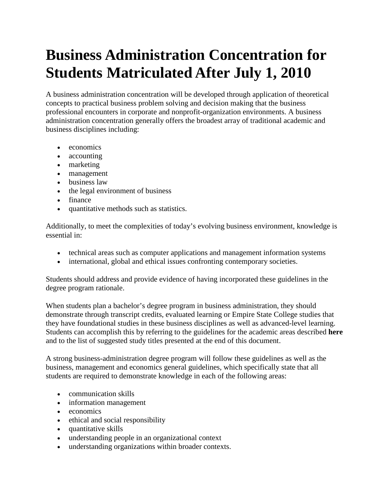# **Business Administration Concentration for Students Matriculated After July 1, 2010**

A business administration concentration will be developed through application of theoretical concepts to practical business problem solving and decision making that the business professional encounters in corporate and nonprofit-organization environments. A business administration concentration generally offers the broadest array of traditional academic and business disciplines including:

- economics
- accounting
- marketing
- management
- business law
- the legal environment of business
- finance
- quantitative methods such as statistics.

Additionally, to meet the complexities of today's evolving business environment, knowledge is essential in:

- technical areas such as computer applications and management information systems
- international, global and ethical issues confronting contemporary societies.

Students should address and provide evidence of having incorporated these guidelines in the degree program rationale.

When students plan a bachelor's degree program in business administration, they should demonstrate through transcript credits, evaluated learning or Empire State College studies that they have foundational studies in these business disciplines as well as advanced-level learning. Students can accomplish this by referring to the guidelines for the academic areas described **here** and to the list of suggested study titles presented at the end of this document.

A strong business-administration degree program will follow these guidelines as well as the business, management and economics general guidelines, which specifically state that all students are required to demonstrate knowledge in each of the following areas:

- communication skills
- information management
- economics
- ethical and social responsibility
- quantitative skills
- understanding people in an organizational context
- understanding organizations within broader contexts.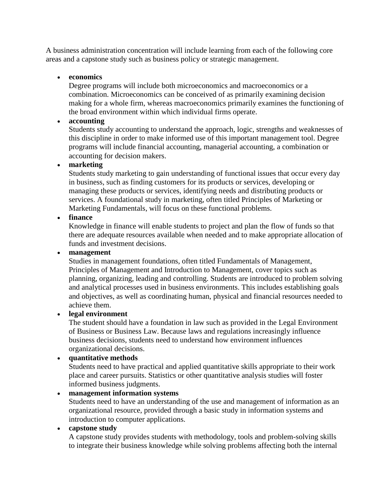A business administration concentration will include learning from each of the following core areas and a capstone study such as business policy or strategic management.

#### • **economics**

Degree programs will include both microeconomics and macroeconomics or a combination. Microeconomics can be conceived of as primarily examining decision making for a whole firm, whereas macroeconomics primarily examines the functioning of the broad environment within which individual firms operate.

### • **accounting**

Students study accounting to understand the approach, logic, strengths and weaknesses of this discipline in order to make informed use of this important management tool. Degree programs will include financial accounting, managerial accounting, a combination or accounting for decision makers.

#### • **marketing**

Students study marketing to gain understanding of functional issues that occur every day in business, such as finding customers for its products or services, developing or managing these products or services, identifying needs and distributing products or services. A foundational study in marketing, often titled Principles of Marketing or Marketing Fundamentals, will focus on these functional problems.

#### • **finance**

Knowledge in finance will enable students to project and plan the flow of funds so that there are adequate resources available when needed and to make appropriate allocation of funds and investment decisions.

#### • **management**

Studies in management foundations, often titled Fundamentals of Management, Principles of Management and Introduction to Management, cover topics such as planning, organizing, leading and controlling. Students are introduced to problem solving and analytical processes used in business environments. This includes establishing goals and objectives, as well as coordinating human, physical and financial resources needed to achieve them.

#### • **legal environment**

The student should have a foundation in law such as provided in the Legal Environment of Business or Business Law. Because laws and regulations increasingly influence business decisions, students need to understand how environment influences organizational decisions.

# • **quantitative methods**

Students need to have practical and applied quantitative skills appropriate to their work place and career pursuits. Statistics or other quantitative analysis studies will foster informed business judgments.

# • **management information systems**

Students need to have an understanding of the use and management of information as an organizational resource, provided through a basic study in information systems and introduction to computer applications.

#### • **capstone study**

A capstone study provides students with methodology, tools and problem-solving skills to integrate their business knowledge while solving problems affecting both the internal